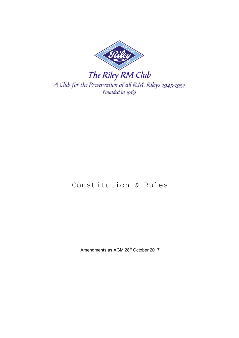

# Constitution & Rules

Amendments as AGM 28<sup>th</sup> October 2017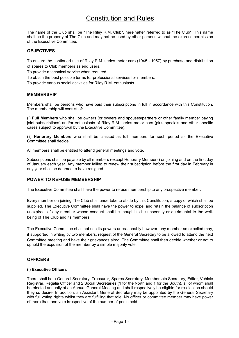# Constitution and Rules

The name of the Club shall be "The Riley R.M. Club", hereinafter referred to as "The Club". This name shall be the property of The Club and may not be used by other persons without the express permission of the Executive Committee.

## **OBJECTIVES**

To ensure the continued use of Riley R.M. series motor cars (1945 - 1957) by purchase and distribution of spares to Club members as end users.

To provide a technical service when required.

To obtain the best possible terms for professional services for members.

To provide various social activities for Riley R.M. enthusiasts.

## MEMBERSHIP

Members shall be persons who have paid their subscriptions in full in accordance with this Constitution. The membership will consist of:

(i) Full Members who shall be owners (or owners and spouses/partners or other family member paying joint subscriptions) and/or enthusiasts of Riley R.M. series motor cars (plus specials and other specific cases subject to approval by the Executive Committee).

(ii) Honorary Members who shall be classed as full members for such period as the Executive Committee shall decide.

All members shall be entitled to attend general meetings and vote.

Subscriptions shall be payable by all members (except Honorary Members) on joining and on the first day of January each year. Any member failing to renew their subscription before the first day in February in any year shall be deemed to have resigned.

## POWER TO REFUSE MEMBERSHIP

The Executive Committee shall have the power to refuse membership to any prospective member.

Every member on joining The Club shall undertake to abide by this Constitution, a copy of which shall be supplied. The Executive Committee shall have the power to expel and retain the balance of subscription unexpired, of any member whose conduct shall be thought to be unseemly or detrimental to the wellbeing of The Club and its members.

The Executive Committee shall not use its powers unreasonably however; any member so expelled may, if supported in writing by two members, request of the General Secretary to be allowed to attend the next Committee meeting and have their grievances aired. The Committee shall then decide whether or not to uphold the expulsion of the member by a simple majority vote.

# **OFFICERS**

## (i) Executive Officers

There shall be a General Secretary, Treasurer, Spares Secretary, Membership Secretary, Editor, Vehicle Registrar, Regalia Officer and 2 Social Secretaries (1 for the North and 1 for the South), all of whom shall be elected annually at an Annual General Meeting and shall respectively be eligible for re-election should they so desire. In addition, an Assistant General Secretary may be appointed by the General Secretary with full voting rights whilst they are fulfilling that role. No officer or committee member may have power of more than one vote irrespective of the number of posts held.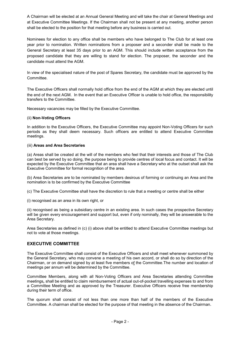A Chairman will be elected at an Annual General Meeting and will take the chair at General Meetings and at Executive Committee Meetings. If the Chairman shall not be present at any meeting, another person shall be elected to the position for that meeting before any business is carried out.

Nominees for election to any office shall be members who have belonged to The Club for at least one year prior to nomination. Written nominations from a proposer and a seconder shall be made to the General Secretary at least 35 days prior to an AGM. This should include written acceptance from the proposed candidate that they are willing to stand for election. The proposer, the seconder and the candidate must attend the AGM.

In view of the specialised nature of the post of Spares Secretary, the candidate must be approved by the Committee.

The Executive Officers shall normally hold office from the end of the AGM at which they are elected until the end of the next AGM. In the event that an Executive Officer is unable to hold office, the responsibility transfers to the Committee.

Necessary vacancies may be filled by the Executive Committee.

#### (ii) Non-Voting Officers

In addition to the Executive Officers, the Executive Committee may appoint Non-Voting Officers for such periods as they shall deem necessary. Such officers are entitled to attend Executive Committee meetings.

#### (iii) Areas and Area Secretaries

(a) Areas shall be created at the will of the members who feel that their interests and those of The Club can best be served by so doing, the purpose being to provide centres of local focus and contact. It will be expected by the Executive Committee that an area shall have a Secretary who at the outset shall ask the Executive Committee for formal recognition of the area.

(b) Area Secretaries are to be nominated by members desirous of forming or continuing an Area and the nomination is to be confirmed by the Executive Committee

(c) The Executive Committee shall have the discretion to rule that a meeting or centre shall be either

(i) recognised as an area in its own right, or

(ii) recognised as being a subsidiary centre in an existing area. In such cases the prospective Secretary will be given every encouragement and support but, even if only nominally, they will be answerable to the Area Secretary.

Area Secretaries as defined in (c) (i) above shall be entitled to attend Executive Committee meetings but not to vote at those meetings.

## EXECUTIVE COMMITTEE

The Executive Committee shall consist of the Executive Officers and shall meet whenever summoned by the General Secretary, who may convene a meeting of his own accord, or shall do so by direction of the Chairman, or on demand signed by at least five members of the Committee.The number and location of meetings per annum will be determined by the Committee.

Committee Members, along with all Non-Voting Officers and Area Secretaries attending Committee meetings, shall be entitled to claim reimbursement of actual out-of-pocket travelling expenses to and from a Committee Meeting and as approved by the Treasurer. Executive Officers receive free membership during their term of office.

The quorum shall consist of not less than one more than half of the members of the Executive Committee. A chairman shall be elected for the purpose of that meeting in the absence of the Chairman.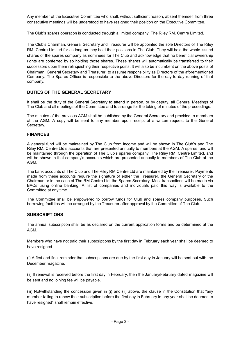Any member of the Executive Committee who shall, without sufficient reason, absent themself from three consecutive meetings will be understood to have resigned their position on the Executive Committee.

The Club's spares operation is conducted through a limited company, The Riley RM. Centre Limited.

The Club's Chairman, General Secretary and Treasurer will be appointed the sole Directors of The Riley RM. Centre Limited for as long as they hold their positions in The Club. They will hold the whole issued shares of the spares company as nominees for The Club and acknowledge that no beneficial ownership rights are conferred by so holding those shares. These shares will automatically be transferred to their successors upon them relinquishing their respective posts. It will also be incumbent on the above posts of Chairman, General Secretary and Treasurer to assume responsibility as Directors of the aforementioned Company. The Spares Officer is responsible to the above Directors for the day to day running of that company.

# DUTIES OF THE GENERAL SECRETARY

It shall be the duty of the General Secretary to attend in person, or by deputy, all General Meetings of The Club and all meetings of the Committee and to arrange for the taking of minutes of the proceedings.

The minutes of the previous AGM shall be published by the General Secretary and provided to members at the AGM. A copy will be sent to any member upon receipt of a written request to the General Secretary.

## FINANCES

A general fund will be maintained by The Club from income and will be shown in The Club's and The Riley RM. Centre Ltd's accounts that are presented annually to members at the AGM. A spares fund will be maintained through the operation of The Club's spares company, The Riley RM. Centre Limited, and will be shown in that company's accounts which are presented annually to members of The Club at the AGM.

The bank accounts of The Club and The Riley RM Centre Ltd are maintained by the Treasurer. Payments made from these accounts require the signature of either the Treasurer, the General Secretary or the Chairman or in the case of The RM Centre Ltd, the Spares Secretary. Most transactions will be made via BACs using online banking. A list of companies and individuals paid this way is available to the Committee at any time.

The Committee shall be empowered to borrow funds for Club and spares company purposes. Such borrowing facilities will be arranged by the Treasurer after approval by the Committee of The Club.

## **SUBSCRIPTIONS**

The annual subscription shall be as declared on the current application forms and be determined at the AGM.

Members who have not paid their subscriptions by the first day in February each year shall be deemed to have resigned.

(i) A first and final reminder that subscriptions are due by the first day in January will be sent out with the December magazine.

(ii) If renewal is received before the first day in February, then the January/February dated magazine will be sent and no joining fee will be payable.

(iii) Notwithstanding the concession given in (i) and (ii) above, the clause in the Constitution that "any member failing to renew their subscription before the first day in February in any year shall be deemed to have resigned" shall remain effective.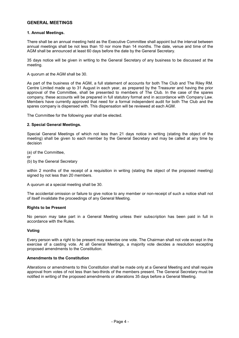## GENERAL MEETINGS

#### 1. Annual Meetings.

There shall be an annual meeting held as the Executive Committee shall appoint but the interval between annual meetings shall be not less than 10 nor more than 14 months. The date, venue and time of the AGM shall be announced at least 60 days before the date by the General Secretary.

35 days notice will be given in writing to the General Secretary of any business to be discussed at the meeting.

A quorum at the AGM shall be 30.

As part of the business of the AGM, a full statement of accounts for both The Club and The Riley RM. Centre Limited made up to 31 August in each year, as prepared by the Treasurer and having the prior approval of the Committee, shall be presented to members of The Club. In the case of the spares company, these accounts will be prepared in full statutory format and in accordance with Company Law. Members have currently approved that need for a formal independent audit for both The Club and the spares company is dispensed with. This dispensation will be reviewed at each AGM.

The Committee for the following year shall be elected.

#### 2. Special General Meetings.

Special General Meetings of which not less than 21 days notice in writing (stating the object of the meeting) shall be given to each member by the General Secretary and may be called at any time by decision

(a) of the Committee, or (b) by the General Secretary

within 2 months of the receipt of a requisition in writing (stating the object of the proposed meeting) signed by not less than 20 members.

A quorum at a special meeting shall be 30.

The accidental omission or failure to give notice to any member or non-receipt of such a notice shall not of itself invalidate the proceedings of any General Meeting.

#### Rights to be Present

No person may take part in a General Meeting unless their subscription has been paid in full in accordance with the Rules.

#### Voting

Every person with a right to be present may exercise one vote. The Chairman shall not vote except in the exercise of a casting vote. At all General Meetings, a majority vote decides a resolution excepting proposed amendments to the Constitution.

#### Amendments to the Constitution

Alterations or amendments to this Constitution shall be made only at a General Meeting and shall require approval from votes of not less than two-thirds of the members present. The General Secretary must be notified in writing of the proposed amendments or alterations 35 days before a General Meeting.